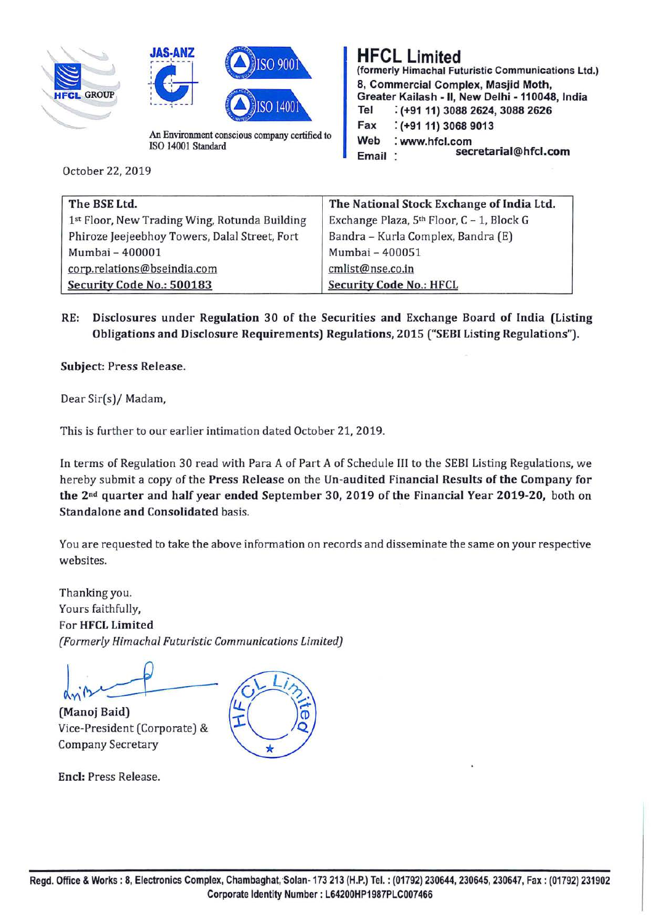





ISO 14001 Standard

October 22, 2019

#### **HFCL Limited (formerly Himachal Futuristic Communications Ltd.) 8, Commercial Complex, Masjid Moth, Greater Kailash** - II, **New Delhi** - **110048, India Tel** : **(+91 11) 3088 2624, 3088 2626 Fax** : **(+91 11) 3068 9013 Web** : **www.hfcl.com secretarial@hfcl.com Email**

| The BSE Ltd.                                  | The National Stock Exchange of India Ltd. |
|-----------------------------------------------|-------------------------------------------|
| 1st Floor, New Trading Wing, Rotunda Building | Exchange Plaza, 5th Floor, C - 1, Block G |
| Phiroze Jeejeebhoy Towers, Dalal Street, Fort | Bandra - Kurla Complex, Bandra (E)        |
| Mumbai - 400001                               | Mumbai - 400051                           |
| corp.relations@bseindia.com                   | cmlist@nse.co.in                          |
| Security Code No.: 500183                     | <b>Security Code No.: HFCL</b>            |

**RE: Disclosures under Regulation 30 of the Securities and Exchange Board of India (Listing Obligations and Disclosure Requirements) Regulations, 2015 ("SEBI Listing Regulations").** 

**Subject: Press Release.** 

Dear Sir(s)/ Madam,

This is further to our earlier intimation dated October 21, 2019.

In terms of Regulation 30 read with Para A of Part A of Schedule III to the SEBI Listing Regulations, we hereby submit a copy of the **Press Release** on the **Un-audited Financial Results of the Company for the 2 nd quarter and half year ended September 30, 2019 of the Financial Year 2019-20,** both on **Standalone and Consolidated** basis.

You are requested to take the above information on records and disseminate the same on your respective websites.

Thanking you. Yours faithfully, For **HFCL Limited**  *(Formerly Himachal Futuristic Communications Limited)* 

d<sub>n</sub><sup>n</sup><br> **(Manoj Baid)** 

Vice-President (Corporate) & Company Secretary

**Encl:** Press Release.

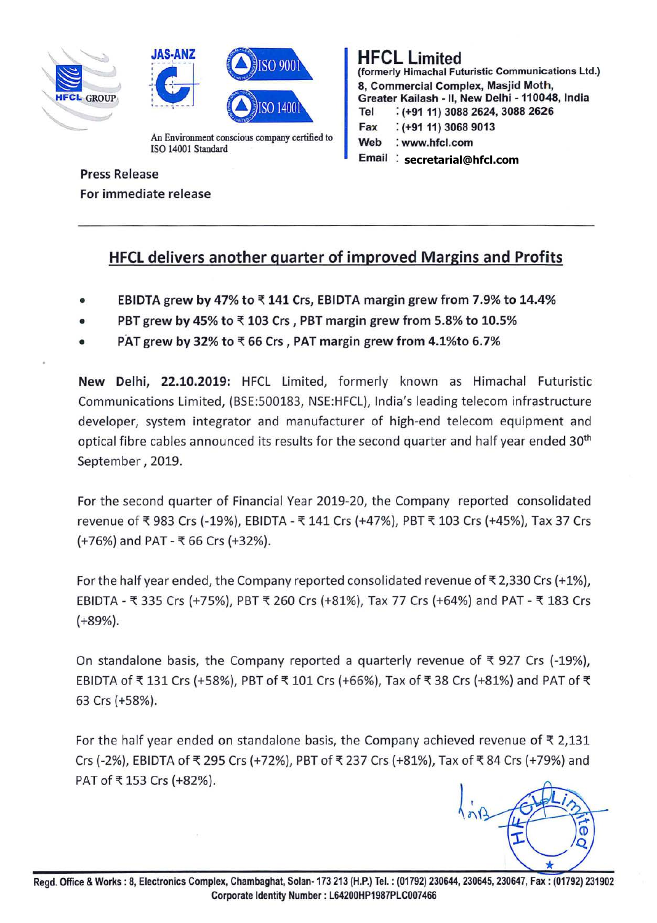





ISO 14001 Standard

# HFCL Limited

(formerly Himachal Futuristic Communications Ltd.) 8, Commercial Complex, Masjid **Moth,**  Greater Kailash - II. New Delhi - 110048, India Tel : (+91 11) 3088 2624, 3088 2626 Fax : (+9111) 3068 9013 **Web** : www.hfcl.com

Email **secretarial@hfcl.com**

### Press Release For immediate release

## HFCL delivers another quarter of improved Margins and Profits

- **EBIDTA grew by 47% to={ 141 Crs, EBIDTA margin grew from 7.9% to 14.4%**
- **PBT grew by 45% to ₹103 Crs, PBT margin grew from 5.8% to 10.5%**
- **PAT grew by 32% to ₹ 66 Crs, PAT margin grew from 4.1%to 6.7%**

**New Delhi, 22.10.2019:** HFCL Limited, formerly known as Himachal Futuristic Communications Limited, (BSE:500183, NSE:HFCL), India's leading telecom infrastructure developer, system integrator and manufacturer of high-end telecom equipment and optical fibre cables announced its results for the second quarter and half year ended 30<sup>th</sup> September, 2019.

For the second quarter of Financial Year 2019-20, the Company reported consolidated revenue of ₹ 983 Crs (-19%), EBIDTA - ₹ 141 Crs (+47%), PBT ₹ 103 Crs (+45%), Tax 37 Crs (+76%) and PAT - ={ 66 Crs (+32%).

For the half year ended, the Company reported consolidated revenue of  $\bar{\tau}$  2,330 Crs (+1%), EBIDTA - ₹ 335 Crs (+75%), PBT ₹ 260 Crs (+81%), Tax 77 Crs (+64%) and PAT - ₹ 183 Crs (+89%).

On standalone basis, the Company reported a quarterly revenue of  $\bar{\tau}$  927 Crs (-19%), EBIDTA of ₹131 Crs (+58%), PBT of ₹101 Crs (+66%), Tax of ₹38 Crs (+81%) and PAT of ₹ 63 Crs (+58%).

For the half year ended on standalone basis, the Company achieved revenue of  $\bar{\tau}$  2,131 Crs (-2%), EBIDTA of ₹ 295 Crs (+72%), PBT of ₹ 237 Crs (+81%), Tax of ₹ 84 Crs (+79%) and PAT of ₹153 Crs (+82%).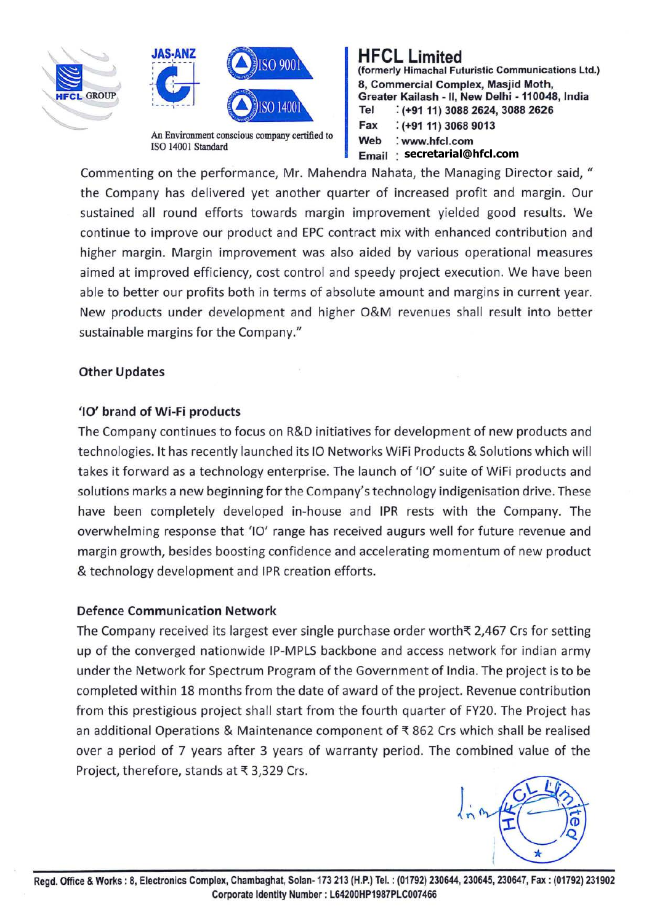





ISO 14001 Standard

### **HFCL Limited**

**(formerly Himachal Futuristic Communications Ltd.) 8, Commercial Complex, Masjid Moth, Greater Kailash** - II, **New Delhi** - **110048, India Tel** : **(+9111) 3088 2624, 3088 2626 Fax** : **(+91 11) 3068 9013 Web** : **www.hfcl.com Email secretarial@hfcl.com**

Commenting on the performance, Mr. Mahendra Nahata, the Managing Director said, " the Company has delivered yet another quarter of increased profit and margin. Our sustained all round efforts towards margin improvement yielded good results. We continue to improve our product and EPC contract mix with enhanced contribution and higher margin. Margin improvement was also aided by various operational measures aimed at improved efficiency, cost control and speedy project execution. We have been able to better our profits both in terms of absolute amount and margins in current year. New products under development and higher O&M revenues shall result into better sustainable margins for the Company."

### **Other Updates**

### **'10' brand of Wi-Fi products**

The Company continues to focus on R&D initiatives for development of new products and technologies. It has recently launched its 10 Networks WiFi Products & Solutions which will takes it forward as a technology enterprise. The launch of '10' suite of WiFi products and solutions marks a new beginning for the Company's technology indigenisation drive. These have been completely developed in-house and IPR rests with the Company. The overwhelming response that '10' range has received augurs well for future revenue and margin growth, besides boosting confidence and accelerating momentum of new product & technology development and IPR creation efforts.

#### **Defence Communication Network**

The Company received its largest ever single purchase order worth $\bar{\tau}$  2,467 Crs for setting up of the converged nationwide IP-MPLS backbone and access network for indian army under the Network for Spectrum Program of the Government of India. The project is to be completed within 18 months from the date of award of the project. Revenue contribution from this prestigious project shall start from the fourth quarter of FY20. The Project has an additional Operations & Maintenance component of  $\bar{x}$  862 Crs which shall be realised over a period of 7 years after 3 years of warranty period. The combined value of the Project, therefore, stands at ₹ 3,329 Crs.